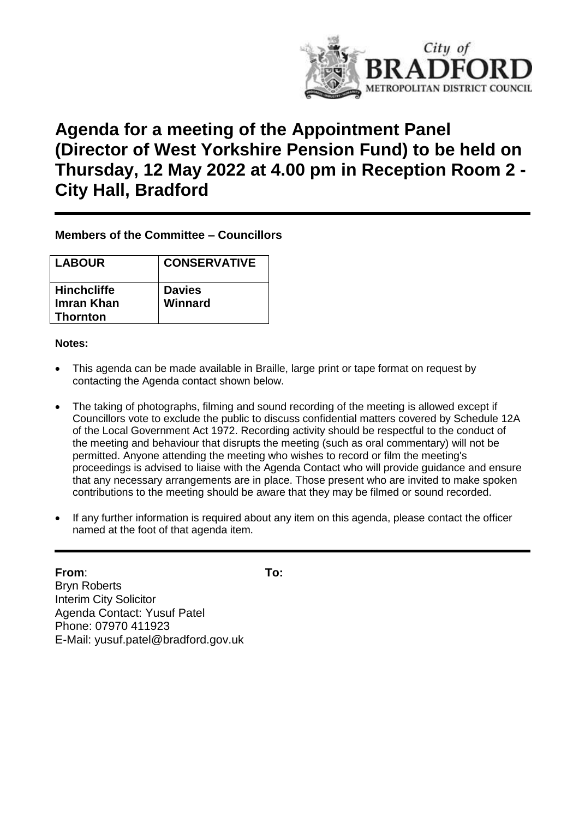

# **Agenda for a meeting of the Appointment Panel (Director of West Yorkshire Pension Fund) to be held on Thursday, 12 May 2022 at 4.00 pm in Reception Room 2 - City Hall, Bradford**

#### **Members of the Committee – Councillors**

| <b>LABOUR</b>                 | <b>CONSERVATIVE</b> |
|-------------------------------|---------------------|
| <b>Hinchcliffe</b>            | <b>Davies</b>       |
| Imran Khan<br><b>Thornton</b> | Winnard             |

#### **Notes:**

- This agenda can be made available in Braille, large print or tape format on request by contacting the Agenda contact shown below.
- The taking of photographs, filming and sound recording of the meeting is allowed except if Councillors vote to exclude the public to discuss confidential matters covered by Schedule 12A of the Local Government Act 1972. Recording activity should be respectful to the conduct of the meeting and behaviour that disrupts the meeting (such as oral commentary) will not be permitted. Anyone attending the meeting who wishes to record or film the meeting's proceedings is advised to liaise with the Agenda Contact who will provide guidance and ensure that any necessary arrangements are in place. Those present who are invited to make spoken contributions to the meeting should be aware that they may be filmed or sound recorded.
- If any further information is required about any item on this agenda, please contact the officer named at the foot of that agenda item.

## **From**: **To:**

Bryn Roberts Interim City Solicitor Agenda Contact: Yusuf Patel Phone: 07970 411923 E-Mail: yusuf.patel@bradford.gov.uk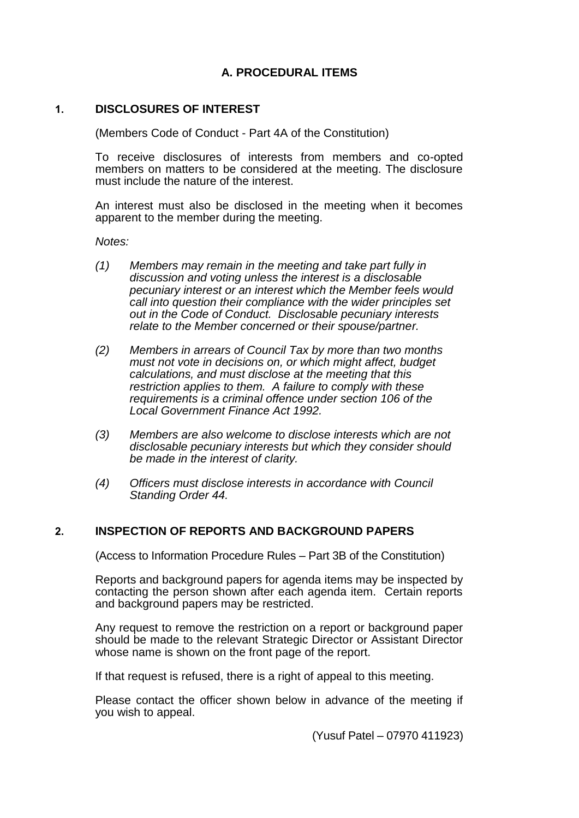### **A. PROCEDURAL ITEMS**

#### **1. DISCLOSURES OF INTEREST**

(Members Code of Conduct - Part 4A of the Constitution)

To receive disclosures of interests from members and co-opted members on matters to be considered at the meeting. The disclosure must include the nature of the interest.

An interest must also be disclosed in the meeting when it becomes apparent to the member during the meeting.

*Notes:*

- *(1) Members may remain in the meeting and take part fully in discussion and voting unless the interest is a disclosable pecuniary interest or an interest which the Member feels would call into question their compliance with the wider principles set out in the Code of Conduct. Disclosable pecuniary interests relate to the Member concerned or their spouse/partner.*
- *(2) Members in arrears of Council Tax by more than two months must not vote in decisions on, or which might affect, budget calculations, and must disclose at the meeting that this restriction applies to them. A failure to comply with these requirements is a criminal offence under section 106 of the Local Government Finance Act 1992.*
- *(3) Members are also welcome to disclose interests which are not disclosable pecuniary interests but which they consider should be made in the interest of clarity.*
- *(4) Officers must disclose interests in accordance with Council Standing Order 44.*

#### **2. INSPECTION OF REPORTS AND BACKGROUND PAPERS**

(Access to Information Procedure Rules – Part 3B of the Constitution)

Reports and background papers for agenda items may be inspected by contacting the person shown after each agenda item. Certain reports and background papers may be restricted.

Any request to remove the restriction on a report or background paper should be made to the relevant Strategic Director or Assistant Director whose name is shown on the front page of the report.

If that request is refused, there is a right of appeal to this meeting.

Please contact the officer shown below in advance of the meeting if you wish to appeal.

(Yusuf Patel – 07970 411923)